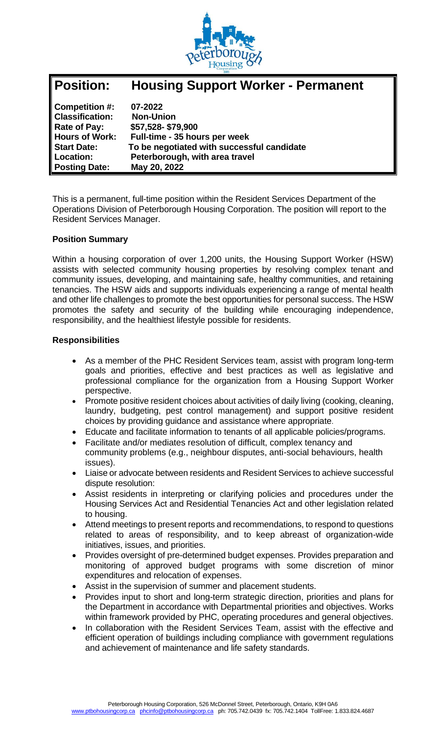

| <b>Position:</b>       | <b>Housing Support Worker - Permanent</b>  |
|------------------------|--------------------------------------------|
| Competition #:         | 07-2022                                    |
| <b>Classification:</b> | <b>Non-Union</b>                           |
| Rate of Pay:           | \$57,528-\$79,900                          |
| <b>Hours of Work:</b>  | Full-time - 35 hours per week              |
| <b>Start Date:</b>     | To be negotiated with successful candidate |
| Location:              | Peterborough, with area travel             |
| <b>Posting Date:</b>   | May 20, 2022                               |

This is a permanent, full-time position within the Resident Services Department of the Operations Division of Peterborough Housing Corporation. The position will report to the Resident Services Manager.

### **Position Summary**

Within a housing corporation of over 1,200 units, the Housing Support Worker (HSW) assists with selected community housing properties by resolving complex tenant and community issues, developing, and maintaining safe, healthy communities, and retaining tenancies. The HSW aids and supports individuals experiencing a range of mental health and other life challenges to promote the best opportunities for personal success. The HSW promotes the safety and security of the building while encouraging independence, responsibility, and the healthiest lifestyle possible for residents.

#### **Responsibilities**

- As a member of the PHC Resident Services team, assist with program long-term goals and priorities, effective and best practices as well as legislative and professional compliance for the organization from a Housing Support Worker perspective.
- Promote positive resident choices about activities of daily living (cooking, cleaning, laundry, budgeting, pest control management) and support positive resident choices by providing guidance and assistance where appropriate.
- Educate and facilitate information to tenants of all applicable policies/programs.
- Facilitate and/or mediates resolution of difficult, complex tenancy and community problems (e.g., neighbour disputes, anti-social behaviours, health issues).
- Liaise or advocate between residents and Resident Services to achieve successful dispute resolution:
- Assist residents in interpreting or clarifying policies and procedures under the Housing Services Act and Residential Tenancies Act and other legislation related to housing.
- Attend meetings to present reports and recommendations, to respond to questions related to areas of responsibility, and to keep abreast of organization-wide initiatives, issues, and priorities.
- Provides oversight of pre-determined budget expenses. Provides preparation and monitoring of approved budget programs with some discretion of minor expenditures and relocation of expenses.
- Assist in the supervision of summer and placement students.
- Provides input to short and long-term strategic direction, priorities and plans for the Department in accordance with Departmental priorities and objectives. Works within framework provided by PHC, operating procedures and general objectives.
- In collaboration with the Resident Services Team, assist with the effective and efficient operation of buildings including compliance with government regulations and achievement of maintenance and life safety standards.